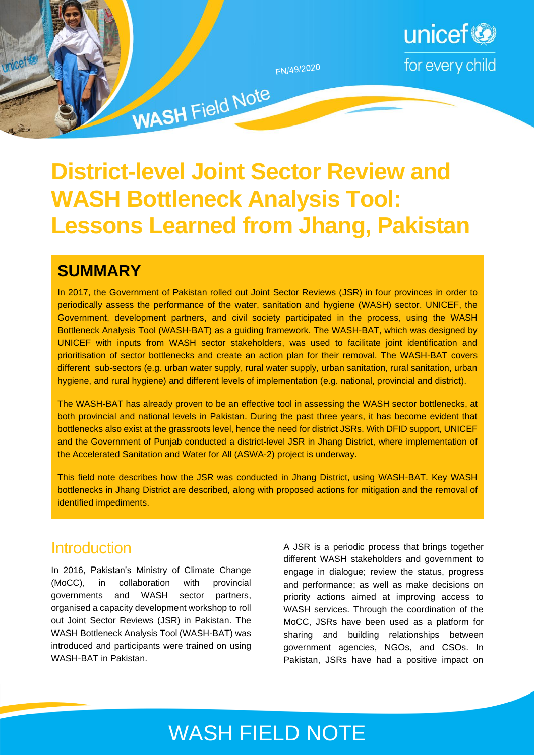

# **District-level Joint Sector Review and WASH Bottleneck Analysis Tool: Lessons Learned from Jhang, Pakistan**

# **SUMMARY**

In 2017, the Government of Pakistan rolled out Joint Sector Reviews (JSR) in four provinces in order to periodically assess the performance of the water, sanitation and hygiene (WASH) sector. UNICEF, the Government, development partners, and civil society participated in the process, using the WASH Bottleneck Analysis Tool (WASH-BAT) as a guiding framework. The WASH-BAT, which was designed by UNICEF with inputs from WASH sector stakeholders, was used to facilitate joint identification and prioritisation of sector bottlenecks and create an action plan for their removal. The WASH-BAT covers different sub-sectors (e.g. urban water supply, rural water supply, urban sanitation, rural sanitation, urban hygiene, and rural hygiene) and different levels of implementation (e.g. national, provincial and district).

The WASH-BAT has already proven to be an effective tool in assessing the WASH sector bottlenecks, at both provincial and national levels in Pakistan. During the past three years, it has become evident that bottlenecks also exist at the grassroots level, hence the need for district JSRs. With DFID support, UNICEF and the Government of Punjab conducted a district-level JSR in Jhang District, where implementation of the Accelerated Sanitation and Water for All (ASWA-2) project is underway.

This field note describes how the JSR was conducted in Jhang District, using WASH-BAT. Key WASH bottlenecks in Jhang District are described, along with proposed actions for mitigation and the removal of identified impediments.

## **Introduction**

In 2016, Pakistan's Ministry of Climate Change (MoCC), in collaboration with provincial governments and WASH sector partners, organised a capacity development workshop to roll out Joint Sector Reviews (JSR) in Pakistan. The WASH Bottleneck Analysis Tool (WASH-BAT) was introduced and participants were trained on using WASH-BAT in Pakistan.

A JSR is a periodic process that brings together different WASH stakeholders and government to engage in dialogue; review the status, progress and performance; as well as make decisions on priority actions aimed at improving access to WASH services. Through the coordination of the MoCC, JSRs have been used as a platform for sharing and building relationships between government agencies, NGOs, and CSOs. In Pakistan, JSRs have had a positive impact on

# WASH FIELD NOTE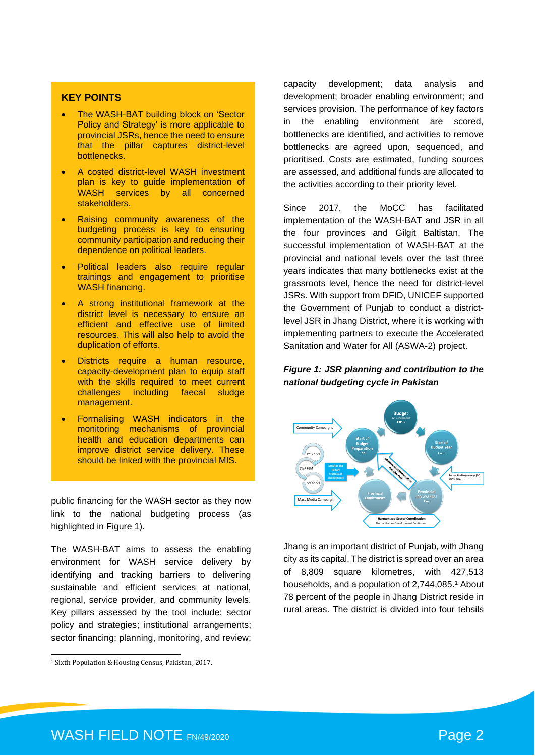#### **KEY POINTS**

- The WASH-BAT building block on 'Sector Policy and Strategy' is more applicable to provincial JSRs, hence the need to ensure that the pillar captures district-level bottlenecks.
- A costed district-level WASH investment plan is key to guide implementation of WASH services by all concerned stakeholders.
- Raising community awareness of the budgeting process is key to ensuring community participation and reducing their dependence on political leaders.
- Political leaders also require regular trainings and engagement to prioritise WASH financing.
- A strong institutional framework at the district level is necessary to ensure an efficient and effective use of limited resources. This will also help to avoid the duplication of efforts.
- Districts require a human resource, capacity-development plan to equip staff with the skills required to meet current challenges including faecal sludge management.
- Formalising WASH indicators in the monitoring mechanisms of provincial health and education departments can improve district service delivery. These should be linked with the provincial MIS.

public financing for the WASH sector as they now link to the national budgeting process (as highlighted in Figure 1).

The WASH-BAT aims to assess the enabling environment for WASH service delivery by identifying and tracking barriers to delivering sustainable and efficient services at national, regional, service provider, and community levels. Key pillars assessed by the tool include: sector policy and strategies; institutional arrangements; sector financing; planning, monitoring, and review; capacity development; data analysis and development; broader enabling environment; and services provision. The performance of key factors in the enabling environment are scored, bottlenecks are identified, and activities to remove bottlenecks are agreed upon, sequenced, and prioritised. Costs are estimated, funding sources are assessed, and additional funds are allocated to the activities according to their priority level.

Since 2017, the MoCC has facilitated implementation of the WASH-BAT and JSR in all the four provinces and Gilgit Baltistan. The successful implementation of WASH-BAT at the provincial and national levels over the last three years indicates that many bottlenecks exist at the grassroots level, hence the need for district-level JSRs. With support from DFID, UNICEF supported the Government of Punjab to conduct a districtlevel JSR in Jhang District, where it is working with implementing partners to execute the Accelerated Sanitation and Water for All (ASWA-2) project.

#### *Figure 1: JSR planning and contribution to the national budgeting cycle in Pakistan*



Jhang is an important district of Punjab, with Jhang city as its capital. The district is spread over an area of 8,809 square kilometres, with 427,513 households, and a population of 2,744,085. <sup>1</sup> About 78 percent of the people in Jhang District reside in rural areas. The district is divided into four tehsils

<sup>1</sup> Sixth Population & Housing Census, Pakistan, 2017.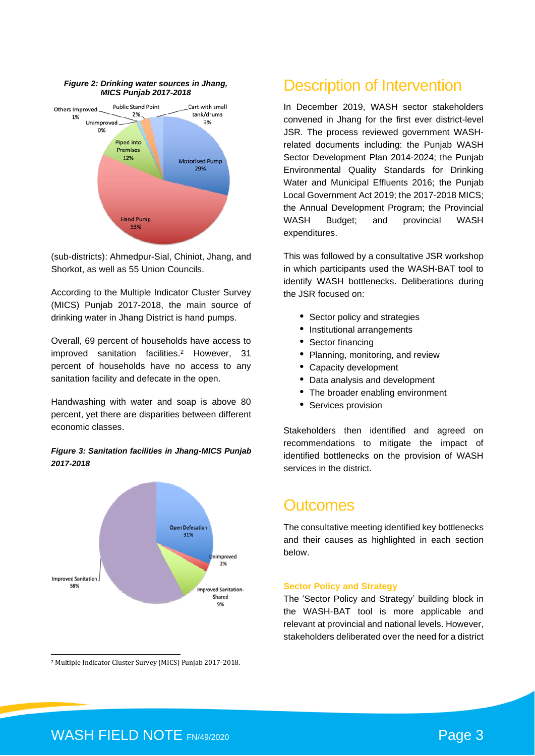

*Figure 2: Drinking water sources in Jhang,* 

(sub-districts): Ahmedpur-Sial, Chiniot, Jhang, and Shorkot, as well as 55 Union Councils.

According to the Multiple Indicator Cluster Survey (MICS) Punjab 2017-2018, the main source of drinking water in Jhang District is hand pumps.

Overall, 69 percent of households have access to improved sanitation facilities. <sup>2</sup> However, 31 percent of households have no access to any sanitation facility and defecate in the open.

Handwashing with water and soap is above 80 percent, yet there are disparities between different economic classes.

#### *Figure 3: Sanitation facilities in Jhang-MICS Punjab 2017-2018*



<sup>2</sup> Multiple Indicator Cluster Survey (MICS) Punjab 2017-2018.

### Description of Intervention

In December 2019, WASH sector stakeholders convened in Jhang for the first ever district-level JSR. The process reviewed government WASHrelated documents including: the Punjab WASH Sector Development Plan 2014-2024; the Punjab Environmental Quality Standards for Drinking Water and Municipal Effluents 2016; the Punjab Local Government Act 2019; the 2017-2018 MICS; the Annual Development Program; the Provincial WASH Budget; and provincial WASH expenditures.

This was followed by a consultative JSR workshop in which participants used the WASH-BAT tool to identify WASH bottlenecks. Deliberations during the JSR focused on:

- Sector policy and strategies
- Institutional arrangements
- Sector financing
- Planning, monitoring, and review
- Capacity development
- Data analysis and development
- The broader enabling environment
- Services provision

Stakeholders then identified and agreed on recommendations to mitigate the impact of identified bottlenecks on the provision of WASH services in the district.

### **Outcomes**

The consultative meeting identified key bottlenecks and their causes as highlighted in each section below.

#### **Sector Policy and Strategy**

The 'Sector Policy and Strategy' building block in the WASH-BAT tool is more applicable and relevant at provincial and national levels. However, stakeholders deliberated over the need for a district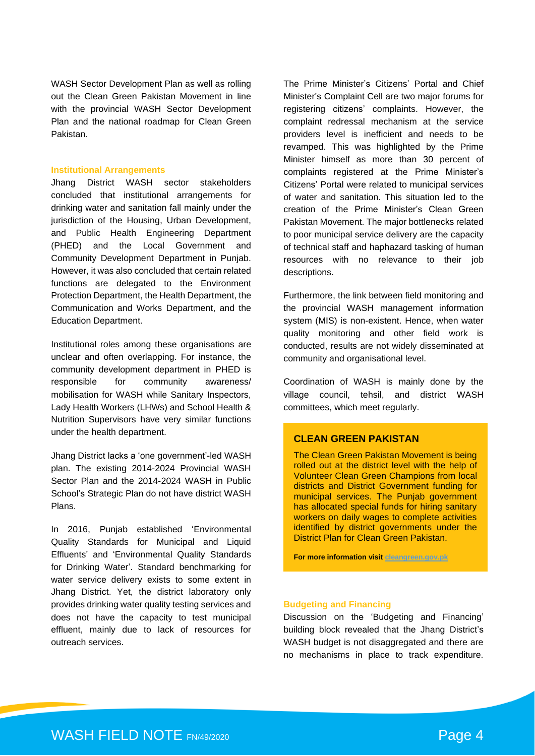WASH Sector Development Plan as well as rolling out the Clean Green Pakistan Movement in line with the provincial WASH Sector Development Plan and the national roadmap for Clean Green Pakistan.

#### **Institutional Arrangements**

Jhang District WASH sector stakeholders concluded that institutional arrangements for drinking water and sanitation fall mainly under the jurisdiction of the Housing, Urban Development, and Public Health Engineering Department (PHED) and the Local Government and Community Development Department in Punjab. However, it was also concluded that certain related functions are delegated to the Environment Protection Department, the Health Department, the Communication and Works Department, and the Education Department.

Institutional roles among these organisations are unclear and often overlapping. For instance, the community development department in PHED is responsible for community awareness/ mobilisation for WASH while Sanitary Inspectors, Lady Health Workers (LHWs) and School Health & Nutrition Supervisors have very similar functions under the health department.

Jhang District lacks a 'one government'-led WASH plan. The existing 2014-2024 Provincial WASH Sector Plan and the 2014-2024 WASH in Public School's Strategic Plan do not have district WASH Plans.

In 2016, Punjab established 'Environmental Quality Standards for Municipal and Liquid Effluents' and 'Environmental Quality Standards for Drinking Water'. Standard benchmarking for water service delivery exists to some extent in Jhang District. Yet, the district laboratory only provides drinking water quality testing services and does not have the capacity to test municipal effluent, mainly due to lack of resources for outreach services.

The Prime Minister's Citizens' Portal and Chief Minister's Complaint Cell are two major forums for registering citizens' complaints. However, the complaint redressal mechanism at the service providers level is inefficient and needs to be revamped. This was highlighted by the Prime Minister himself as more than 30 percent of complaints registered at the Prime Minister's Citizens' Portal were related to municipal services of water and sanitation. This situation led to the creation of the Prime Minister's Clean Green Pakistan Movement. The major bottlenecks related to poor municipal service delivery are the capacity of technical staff and haphazard tasking of human resources with no relevance to their job descriptions.

Furthermore, the link between field monitoring and the provincial WASH management information system (MIS) is non-existent. Hence, when water quality monitoring and other field work is conducted, results are not widely disseminated at community and organisational level.

Coordination of WASH is mainly done by the village council, tehsil, and district WASH committees, which meet regularly.

#### **CLEAN GREEN PAKISTAN**

The Clean Green Pakistan Movement is being rolled out at the district level with the help of Volunteer Clean Green Champions from local districts and District Government funding for municipal services. The Punjab government has allocated special funds for hiring sanitary workers on daily wages to complete activities identified by district governments under the District Plan for Clean Green Pakistan.

**For more information visit [cleangreen.gov.pk](file:///C:/Users/pushk/Google%20Drive/0%20WORK%20WORK%20WORK%20WORK/03%20UNICEF/Field%20Notes/4%20Pakistan/cleangreen.gov.pk)**

#### **Budgeting and Financing**

Discussion on the 'Budgeting and Financing' building block revealed that the Jhang District's WASH budget is not disaggregated and there are no mechanisms in place to track expenditure.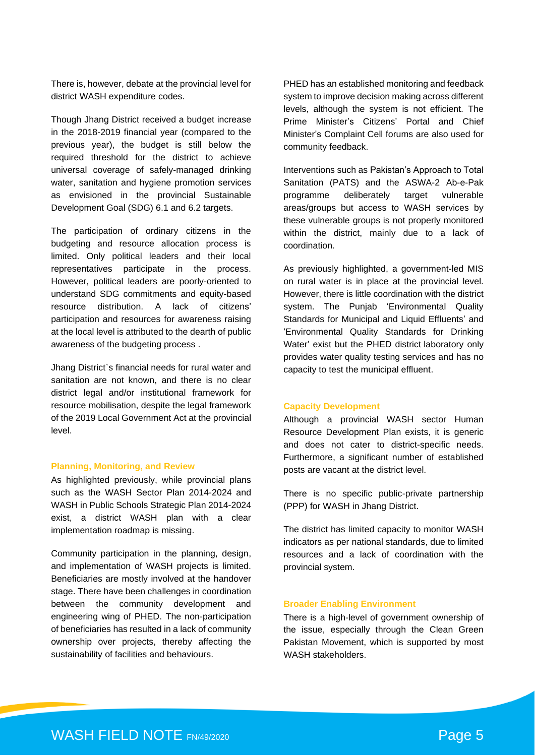There is, however, debate at the provincial level for district WASH expenditure codes.

Though Jhang District received a budget increase in the 2018-2019 financial year (compared to the previous year), the budget is still below the required threshold for the district to achieve universal coverage of safely-managed drinking water, sanitation and hygiene promotion services as envisioned in the provincial Sustainable Development Goal (SDG) 6.1 and 6.2 targets.

The participation of ordinary citizens in the budgeting and resource allocation process is limited. Only political leaders and their local representatives participate in the process. However, political leaders are poorly-oriented to understand SDG commitments and equity-based resource distribution. A lack of citizens' participation and resources for awareness raising at the local level is attributed to the dearth of public awareness of the budgeting process .

Jhang District`s financial needs for rural water and sanitation are not known, and there is no clear district legal and/or institutional framework for resource mobilisation, despite the legal framework of the 2019 Local Government Act at the provincial level.

#### **Planning, Monitoring, and Review**

As highlighted previously, while provincial plans such as the WASH Sector Plan 2014-2024 and WASH in Public Schools Strategic Plan 2014-2024 exist, a district WASH plan with a clear implementation roadmap is missing.

Community participation in the planning, design, and implementation of WASH projects is limited. Beneficiaries are mostly involved at the handover stage. There have been challenges in coordination between the community development and engineering wing of PHED. The non-participation of beneficiaries has resulted in a lack of community ownership over projects, thereby affecting the sustainability of facilities and behaviours.

PHED has an established monitoring and feedback system to improve decision making across different levels, although the system is not efficient. The Prime Minister's Citizens' Portal and Chief Minister's Complaint Cell forums are also used for community feedback.

Interventions such as Pakistan's Approach to Total Sanitation (PATS) and the ASWA-2 Ab-e-Pak programme deliberately target vulnerable areas/groups but access to WASH services by these vulnerable groups is not properly monitored within the district, mainly due to a lack of coordination.

As previously highlighted, a government-led MIS on rural water is in place at the provincial level. However, there is little coordination with the district system. The Punjab 'Environmental Quality Standards for Municipal and Liquid Effluents' and 'Environmental Quality Standards for Drinking Water' exist but the PHED district laboratory only provides water quality testing services and has no capacity to test the municipal effluent.

#### **Capacity Development**

Although a provincial WASH sector Human Resource Development Plan exists, it is generic and does not cater to district-specific needs. Furthermore, a significant number of established posts are vacant at the district level.

There is no specific public-private partnership (PPP) for WASH in Jhang District.

The district has limited capacity to monitor WASH indicators as per national standards, due to limited resources and a lack of coordination with the provincial system.

#### **Broader Enabling Environment**

There is a high-level of government ownership of the issue, especially through the Clean Green Pakistan Movement, which is supported by most WASH stakeholders.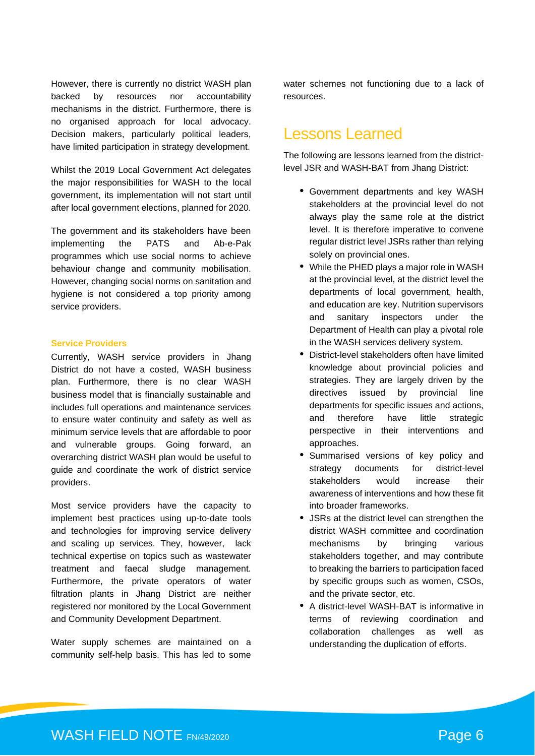However, there is currently no district WASH plan backed by resources nor accountability mechanisms in the district. Furthermore, there is no organised approach for local advocacy. Decision makers, particularly political leaders, have limited participation in strategy development.

Whilst the 2019 Local Government Act delegates the major responsibilities for WASH to the local government, its implementation will not start until after local government elections, planned for 2020.

The government and its stakeholders have been implementing the PATS and Ab-e-Pak programmes which use social norms to achieve behaviour change and community mobilisation. However, changing social norms on sanitation and hygiene is not considered a top priority among service providers.

#### **Service Providers**

Currently, WASH service providers in Jhang District do not have a costed, WASH business plan. Furthermore, there is no clear WASH business model that is financially sustainable and includes full operations and maintenance services to ensure water continuity and safety as well as minimum service levels that are affordable to poor and vulnerable groups. Going forward, an overarching district WASH plan would be useful to guide and coordinate the work of district service providers.

Most service providers have the capacity to implement best practices using up-to-date tools and technologies for improving service delivery and scaling up services. They, however, lack technical expertise on topics such as wastewater treatment and faecal sludge management. Furthermore, the private operators of water filtration plants in Jhang District are neither registered nor monitored by the Local Government and Community Development Department.

Water supply schemes are maintained on a community self-help basis. This has led to some

water schemes not functioning due to a lack of resources.

### Lessons Learned

The following are lessons learned from the districtlevel JSR and WASH-BAT from Jhang District:

- Government departments and key WASH stakeholders at the provincial level do not always play the same role at the district level. It is therefore imperative to convene regular district level JSRs rather than relying solely on provincial ones.
- While the PHED plays a major role in WASH at the provincial level, at the district level the departments of local government, health, and education are key. Nutrition supervisors and sanitary inspectors under the Department of Health can play a pivotal role in the WASH services delivery system.
- District-level stakeholders often have limited knowledge about provincial policies and strategies. They are largely driven by the directives issued by provincial line departments for specific issues and actions, and therefore have little strategic perspective in their interventions and approaches.
- Summarised versions of key policy and strategy documents for district-level stakeholders would increase their awareness of interventions and how these fit into broader frameworks.
- JSRs at the district level can strengthen the district WASH committee and coordination mechanisms by bringing various stakeholders together, and may contribute to breaking the barriers to participation faced by specific groups such as women, CSOs, and the private sector, etc.
- A district-level WASH-BAT is informative in terms of reviewing coordination and collaboration challenges as well as understanding the duplication of efforts.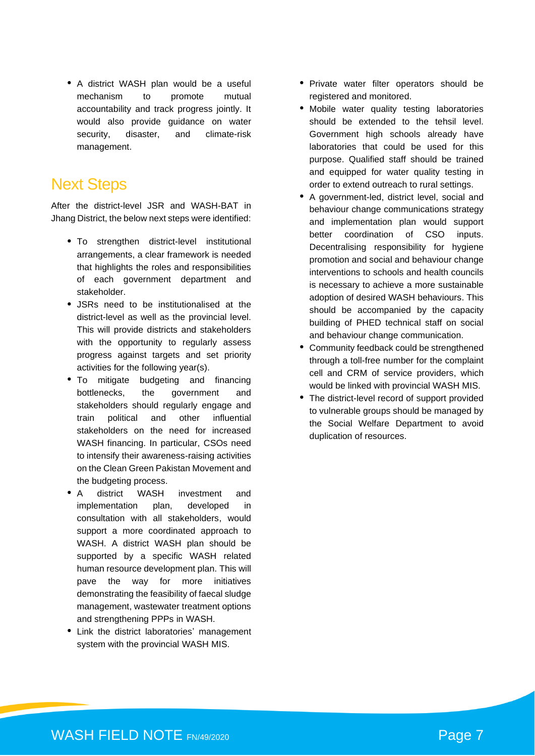• A district WASH plan would be a useful mechanism to promote mutual accountability and track progress jointly. It would also provide guidance on water security, disaster, and climate-risk management.

### Next Steps

After the district-level JSR and WASH-BAT in Jhang District, the below next steps were identified:

- To strengthen district-level institutional arrangements, a clear framework is needed that highlights the roles and responsibilities of each government department and stakeholder.
- JSRs need to be institutionalised at the district-level as well as the provincial level. This will provide districts and stakeholders with the opportunity to regularly assess progress against targets and set priority activities for the following year(s).
- To mitigate budgeting and financing bottlenecks, the government and stakeholders should regularly engage and train political and other influential stakeholders on the need for increased WASH financing. In particular, CSOs need to intensify their awareness-raising activities on the Clean Green Pakistan Movement and the budgeting process.
- A district WASH investment and implementation plan, developed in consultation with all stakeholders, would support a more coordinated approach to WASH. A district WASH plan should be supported by a specific WASH related human resource development plan. This will pave the way for more initiatives demonstrating the feasibility of faecal sludge management, wastewater treatment options and strengthening PPPs in WASH.
- Link the district laboratories' management system with the provincial WASH MIS.
- Private water filter operators should be registered and monitored.
- Mobile water quality testing laboratories should be extended to the tehsil level. Government high schools already have laboratories that could be used for this purpose. Qualified staff should be trained and equipped for water quality testing in order to extend outreach to rural settings.
- A government-led, district level, social and behaviour change communications strategy and implementation plan would support better coordination of CSO inputs. Decentralising responsibility for hygiene promotion and social and behaviour change interventions to schools and health councils is necessary to achieve a more sustainable adoption of desired WASH behaviours. This should be accompanied by the capacity building of PHED technical staff on social and behaviour change communication.
- Community feedback could be strengthened through a toll-free number for the complaint cell and CRM of service providers, which would be linked with provincial WASH MIS.
- The district-level record of support provided to vulnerable groups should be managed by the Social Welfare Department to avoid duplication of resources.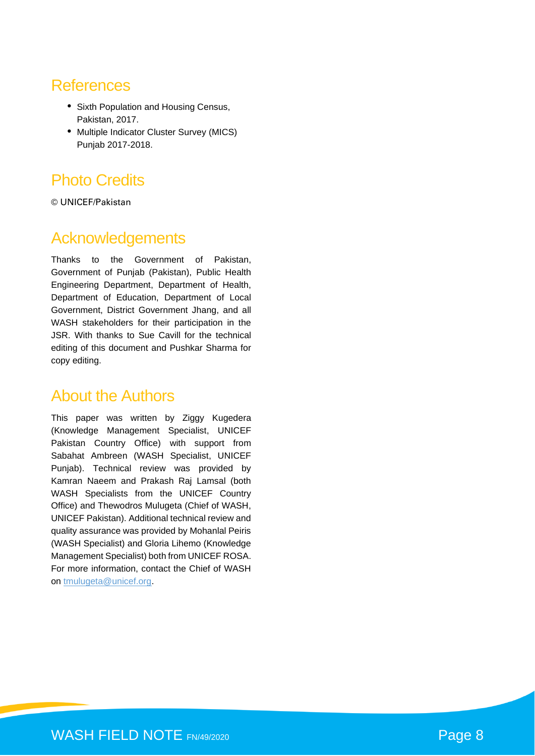### **References**

- Sixth Population and Housing Census, Pakistan, 2017.
- Multiple Indicator Cluster Survey (MICS) Punjab 2017-2018.

# Photo Credits

© UNICEF/Pakistan

# Acknowledgements

Thanks to the Government of Pakistan, Government of Punjab (Pakistan), Public Health Engineering Department, Department of Health, Department of Education, Department of Local Government, District Government Jhang, and all WASH stakeholders for their participation in the JSR. With thanks to Sue Cavill for the technical editing of this document and Pushkar Sharma for copy editing.

### About the Authors

This paper was written by Ziggy Kugedera (Knowledge Management Specialist, UNICEF Pakistan Country Office) with support from Sabahat Ambreen (WASH Specialist, UNICEF Punjab). Technical review was provided by Kamran Naeem and Prakash Raj Lamsal (both WASH Specialists from the UNICEF Country Office) and Thewodros Mulugeta (Chief of WASH, UNICEF Pakistan). Additional technical review and quality assurance was provided by Mohanlal Peiris (WASH Specialist) and Gloria Lihemo (Knowledge Management Specialist) both from UNICEF ROSA. For more information, contact the Chief of WASH on [tmulugeta@unicef.org.](mailto:tmulugeta@unicef.org)